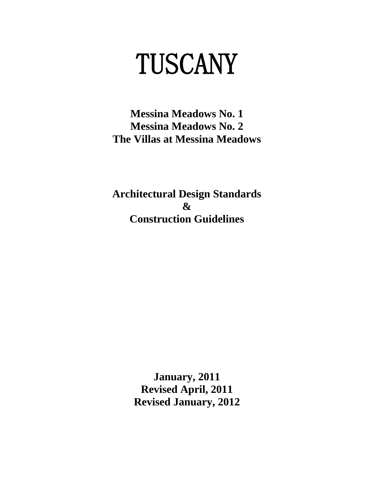# TUSCANY

**Messina Meadows No. 1 Messina Meadows No. 2 The Villas at Messina Meadows**

**Architectural Design Standards & Construction Guidelines**

> **January, 2011 Revised April, 2011 Revised January, 2012**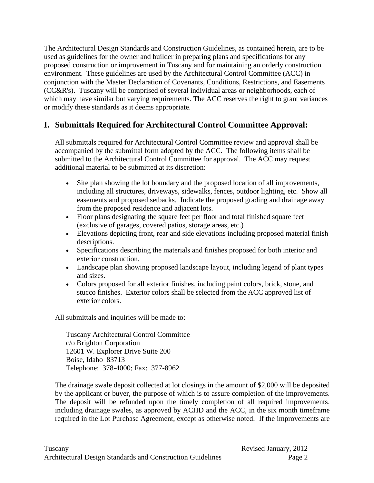The Architectural Design Standards and Construction Guidelines, as contained herein, are to be used as guidelines for the owner and builder in preparing plans and specifications for any proposed construction or improvement in Tuscany and for maintaining an orderly construction environment. These guidelines are used by the Architectural Control Committee (ACC) in conjunction with the Master Declaration of Covenants, Conditions, Restrictions, and Easements (CC&R's). Tuscany will be comprised of several individual areas or neighborhoods, each of which may have similar but varying requirements. The ACC reserves the right to grant variances or modify these standards as it deems appropriate.

# **I. Submittals Required for Architectural Control Committee Approval:**

All submittals required for Architectural Control Committee review and approval shall be accompanied by the submittal form adopted by the ACC. The following items shall be submitted to the Architectural Control Committee for approval. The ACC may request additional material to be submitted at its discretion:

- Site plan showing the lot boundary and the proposed location of all improvements, including all structures, driveways, sidewalks, fences, outdoor lighting, etc. Show all easements and proposed setbacks. Indicate the proposed grading and drainage away from the proposed residence and adjacent lots.
- Floor plans designating the square feet per floor and total finished square feet (exclusive of garages, covered patios, storage areas, etc.)
- Elevations depicting front, rear and side elevations including proposed material finish descriptions.
- Specifications describing the materials and finishes proposed for both interior and exterior construction.
- Landscape plan showing proposed landscape layout, including legend of plant types and sizes.
- Colors proposed for all exterior finishes, including paint colors, brick, stone, and stucco finishes. Exterior colors shall be selected from the ACC approved list of exterior colors.

All submittals and inquiries will be made to:

Tuscany Architectural Control Committee c/o Brighton Corporation 12601 W. Explorer Drive Suite 200 Boise, Idaho 83713 Telephone: 378-4000; Fax: 377-8962

The drainage swale deposit collected at lot closings in the amount of \$2,000 will be deposited by the applicant or buyer, the purpose of which is to assure completion of the improvements. The deposit will be refunded upon the timely completion of all required improvements, including drainage swales, as approved by ACHD and the ACC, in the six month timeframe required in the Lot Purchase Agreement, except as otherwise noted. If the improvements are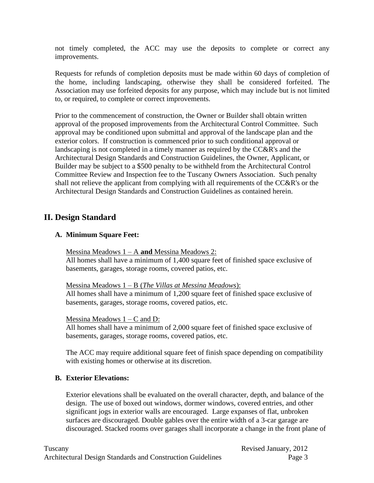not timely completed, the ACC may use the deposits to complete or correct any improvements.

Requests for refunds of completion deposits must be made within 60 days of completion of the home, including landscaping, otherwise they shall be considered forfeited. The Association may use forfeited deposits for any purpose, which may include but is not limited to, or required, to complete or correct improvements.

Prior to the commencement of construction, the Owner or Builder shall obtain written approval of the proposed improvements from the Architectural Control Committee. Such approval may be conditioned upon submittal and approval of the landscape plan and the exterior colors. If construction is commenced prior to such conditional approval or landscaping is not completed in a timely manner as required by the CC&R's and the Architectural Design Standards and Construction Guidelines, the Owner, Applicant, or Builder may be subject to a \$500 penalty to be withheld from the Architectural Control Committee Review and Inspection fee to the Tuscany Owners Association. Such penalty shall not relieve the applicant from complying with all requirements of the CC&R's or the Architectural Design Standards and Construction Guidelines as contained herein.

# **II. Design Standard**

#### **A. Minimum Square Feet:**

#### Messina Meadows 1 – A **and** Messina Meadows 2:

All homes shall have a minimum of 1,400 square feet of finished space exclusive of basements, garages, storage rooms, covered patios, etc.

#### Messina Meadows 1 – B (*The Villas at Messina Meadows*):

All homes shall have a minimum of 1,200 square feet of finished space exclusive of basements, garages, storage rooms, covered patios, etc.

#### Messina Meadows  $1 - C$  and D:

All homes shall have a minimum of 2,000 square feet of finished space exclusive of basements, garages, storage rooms, covered patios, etc.

The ACC may require additional square feet of finish space depending on compatibility with existing homes or otherwise at its discretion.

#### **B. Exterior Elevations:**

Exterior elevations shall be evaluated on the overall character, depth, and balance of the design. The use of boxed out windows, dormer windows, covered entries, and other significant jogs in exterior walls are encouraged. Large expanses of flat, unbroken surfaces are discouraged. Double gables over the entire width of a 3-car garage are discouraged. Stacked rooms over garages shall incorporate a change in the front plane of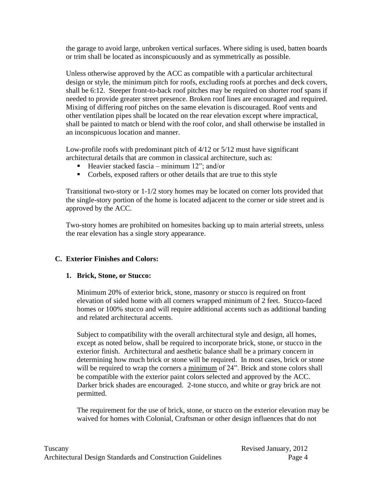the garage to avoid large, unbroken vertical surfaces. Where siding is used, batten boards or trim shall be located as inconspicuously and as symmetrically as possible.

Unless otherwise approved by the ACC as compatible with a particular architectural design or style, the minimum pitch for roofs, excluding roofs at porches and deck covers, shall be 6:12. Steeper front-to-back roof pitches may be required on shorter roof spans if needed to provide greater street presence. Broken roof lines are encouraged and required. Mixing of differing roof pitches on the same elevation is discouraged. Roof vents and other ventilation pipes shall be located on the rear elevation except where impractical, shall be painted to match or blend with the roof color, and shall otherwise be installed in an inconspicuous location and manner.

Low-profile roofs with predominant pitch of 4/12 or 5/12 must have significant architectural details that are common in classical architecture, such as:

- Heavier stacked fascia minimum  $12$ "; and/or
- Corbels, exposed rafters or other details that are true to this style

Transitional two-story or 1-1/2 story homes may be located on corner lots provided that the single-story portion of the home is located adjacent to the corner or side street and is approved by the ACC.

Two-story homes are prohibited on homesites backing up to main arterial streets, unless the rear elevation has a single story appearance.

#### **C. Exterior Finishes and Colors:**

#### **1. Brick, Stone, or Stucco:**

Minimum 20% of exterior brick, stone, masonry or stucco is required on front elevation of sided home with all corners wrapped minimum of 2 feet. Stucco-faced homes or 100% stucco and will require additional accents such as additional banding and related architectural accents.

Subject to compatibility with the overall architectural style and design, all homes, except as noted below, shall be required to incorporate brick, stone, or stucco in the exterior finish. Architectural and aesthetic balance shall be a primary concern in determining how much brick or stone will be required. In most cases, brick or stone will be required to wrap the corners a minimum of 24". Brick and stone colors shall be compatible with the exterior paint colors selected and approved by the ACC. Darker brick shades are encouraged. 2-tone stucco, and white or gray brick are not permitted.

The requirement for the use of brick, stone, or stucco on the exterior elevation may be waived for homes with Colonial, Craftsman or other design influences that do not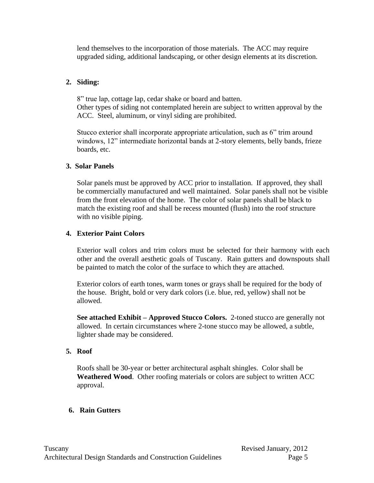lend themselves to the incorporation of those materials. The ACC may require upgraded siding, additional landscaping, or other design elements at its discretion.

#### **2. Siding:**

8" true lap, cottage lap, cedar shake or board and batten. Other types of siding not contemplated herein are subject to written approval by the ACC. Steel, aluminum, or vinyl siding are prohibited.

Stucco exterior shall incorporate appropriate articulation, such as 6" trim around windows, 12" intermediate horizontal bands at 2-story elements, belly bands, frieze boards, etc.

#### **3. Solar Panels**

Solar panels must be approved by ACC prior to installation. If approved, they shall be commercially manufactured and well maintained. Solar panels shall not be visible from the front elevation of the home. The color of solar panels shall be black to match the existing roof and shall be recess mounted (flush) into the roof structure with no visible piping.

#### **4. Exterior Paint Colors**

Exterior wall colors and trim colors must be selected for their harmony with each other and the overall aesthetic goals of Tuscany. Rain gutters and downspouts shall be painted to match the color of the surface to which they are attached.

Exterior colors of earth tones, warm tones or grays shall be required for the body of the house. Bright, bold or very dark colors (i.e. blue, red, yellow) shall not be allowed.

**See attached Exhibit – Approved Stucco Colors.** 2-toned stucco are generally not allowed. In certain circumstances where 2-tone stucco may be allowed, a subtle, lighter shade may be considered.

#### **5. Roof**

Roofs shall be 30-year or better architectural asphalt shingles. Color shall be **Weathered Wood**. Other roofing materials or colors are subject to written ACC approval.

#### **6. Rain Gutters**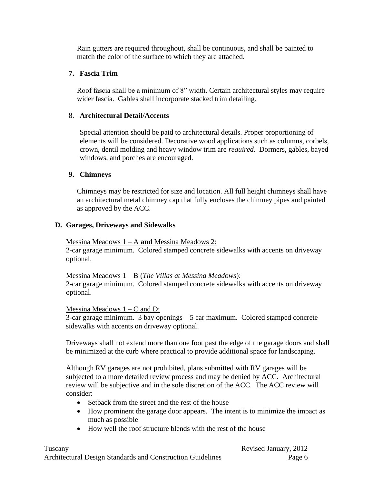Rain gutters are required throughout, shall be continuous, and shall be painted to match the color of the surface to which they are attached.

#### **7. Fascia Trim**

Roof fascia shall be a minimum of 8" width. Certain architectural styles may require wider fascia. Gables shall incorporate stacked trim detailing.

### 8. **Architectural Detail/Accents**

Special attention should be paid to architectural details. Proper proportioning of elements will be considered. Decorative wood applications such as columns, corbels, crown, dentil molding and heavy window trim are *required*. Dormers, gables, bayed windows, and porches are encouraged.

# **9. Chimneys**

Chimneys may be restricted for size and location. All full height chimneys shall have an architectural metal chimney cap that fully encloses the chimney pipes and painted as approved by the ACC.

#### **D. Garages, Driveways and Sidewalks**

#### Messina Meadows 1 – A **and** Messina Meadows 2:

2-car garage minimum. Colored stamped concrete sidewalks with accents on driveway optional.

Messina Meadows 1 – B (*The Villas at Messina Meadows*): 2-car garage minimum. Colored stamped concrete sidewalks with accents on driveway optional.

Messina Meadows  $1 - C$  and D:

3-car garage minimum. 3 bay openings – 5 car maximum. Colored stamped concrete sidewalks with accents on driveway optional.

Driveways shall not extend more than one foot past the edge of the garage doors and shall be minimized at the curb where practical to provide additional space for landscaping.

Although RV garages are not prohibited, plans submitted with RV garages will be subjected to a more detailed review process and may be denied by ACC. Architectural review will be subjective and in the sole discretion of the ACC. The ACC review will consider:

- Setback from the street and the rest of the house
- How prominent the garage door appears. The intent is to minimize the impact as much as possible
- How well the roof structure blends with the rest of the house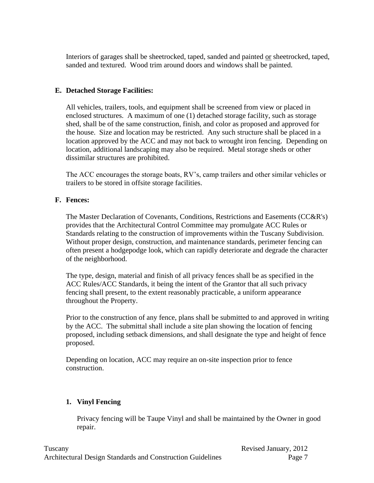Interiors of garages shall be sheetrocked, taped, sanded and painted or sheetrocked, taped, sanded and textured. Wood trim around doors and windows shall be painted.

# **E. Detached Storage Facilities:**

All vehicles, trailers, tools, and equipment shall be screened from view or placed in enclosed structures. A maximum of one (1) detached storage facility, such as storage shed, shall be of the same construction, finish, and color as proposed and approved for the house. Size and location may be restricted. Any such structure shall be placed in a location approved by the ACC and may not back to wrought iron fencing. Depending on location, additional landscaping may also be required. Metal storage sheds or other dissimilar structures are prohibited.

The ACC encourages the storage boats, RV's, camp trailers and other similar vehicles or trailers to be stored in offsite storage facilities.

#### **F. Fences:**

The Master Declaration of Covenants, Conditions, Restrictions and Easements (CC&R's) provides that the Architectural Control Committee may promulgate ACC Rules or Standards relating to the construction of improvements within the Tuscany Subdivision. Without proper design, construction, and maintenance standards, perimeter fencing can often present a hodgepodge look, which can rapidly deteriorate and degrade the character of the neighborhood.

The type, design, material and finish of all privacy fences shall be as specified in the ACC Rules/ACC Standards, it being the intent of the Grantor that all such privacy fencing shall present, to the extent reasonably practicable, a uniform appearance throughout the Property.

Prior to the construction of any fence, plans shall be submitted to and approved in writing by the ACC. The submittal shall include a site plan showing the location of fencing proposed, including setback dimensions, and shall designate the type and height of fence proposed.

Depending on location, ACC may require an on-site inspection prior to fence construction.

# **1. Vinyl Fencing**

Privacy fencing will be Taupe Vinyl and shall be maintained by the Owner in good repair.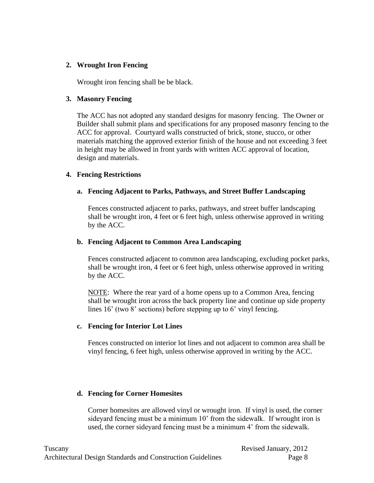#### **2. Wrought Iron Fencing**

Wrought iron fencing shall be be black.

#### **3. Masonry Fencing**

The ACC has not adopted any standard designs for masonry fencing. The Owner or Builder shall submit plans and specifications for any proposed masonry fencing to the ACC for approval. Courtyard walls constructed of brick, stone, stucco, or other materials matching the approved exterior finish of the house and not exceeding 3 feet in height may be allowed in front yards with written ACC approval of location, design and materials.

#### **4. Fencing Restrictions**

#### **a. Fencing Adjacent to Parks, Pathways, and Street Buffer Landscaping**

Fences constructed adjacent to parks, pathways, and street buffer landscaping shall be wrought iron, 4 feet or 6 feet high, unless otherwise approved in writing by the ACC.

#### **b. Fencing Adjacent to Common Area Landscaping**

Fences constructed adjacent to common area landscaping, excluding pocket parks, shall be wrought iron, 4 feet or 6 feet high, unless otherwise approved in writing by the ACC.

NOTE: Where the rear yard of a home opens up to a Common Area, fencing shall be wrought iron across the back property line and continue up side property lines 16' (two 8' sections) before stepping up to 6' vinyl fencing.

#### **c. Fencing for Interior Lot Lines**

Fences constructed on interior lot lines and not adjacent to common area shall be vinyl fencing, 6 feet high, unless otherwise approved in writing by the ACC.

#### **d. Fencing for Corner Homesites**

Corner homesites are allowed vinyl or wrought iron. If vinyl is used, the corner sideyard fencing must be a minimum 10' from the sidewalk. If wrought iron is used, the corner sideyard fencing must be a minimum 4' from the sidewalk.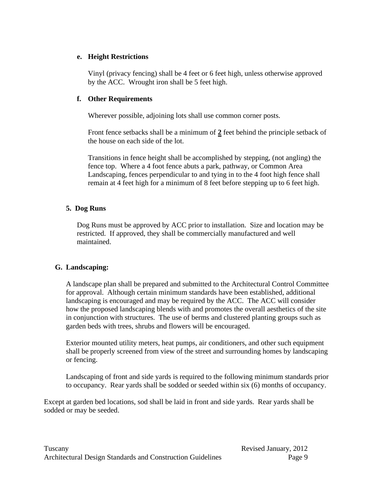#### **e. Height Restrictions**

Vinyl (privacy fencing) shall be 4 feet or 6 feet high, unless otherwise approved by the ACC. Wrought iron shall be 5 feet high.

# **f. Other Requirements**

Wherever possible, adjoining lots shall use common corner posts.

Front fence setbacks shall be a minimum of **2** feet behind the principle setback of the house on each side of the lot.

Transitions in fence height shall be accomplished by stepping, (not angling) the fence top. Where a 4 foot fence abuts a park, pathway, or Common Area Landscaping, fences perpendicular to and tying in to the 4 foot high fence shall remain at 4 feet high for a minimum of 8 feet before stepping up to 6 feet high.

# **5. Dog Runs**

Dog Runs must be approved by ACC prior to installation. Size and location may be restricted. If approved, they shall be commercially manufactured and well maintained.

# **G. Landscaping:**

A landscape plan shall be prepared and submitted to the Architectural Control Committee for approval. Although certain minimum standards have been established, additional landscaping is encouraged and may be required by the ACC. The ACC will consider how the proposed landscaping blends with and promotes the overall aesthetics of the site in conjunction with structures. The use of berms and clustered planting groups such as garden beds with trees, shrubs and flowers will be encouraged.

Exterior mounted utility meters, heat pumps, air conditioners, and other such equipment shall be properly screened from view of the street and surrounding homes by landscaping or fencing.

Landscaping of front and side yards is required to the following minimum standards prior to occupancy. Rear yards shall be sodded or seeded within six (6) months of occupancy.

Except at garden bed locations, sod shall be laid in front and side yards. Rear yards shall be sodded or may be seeded.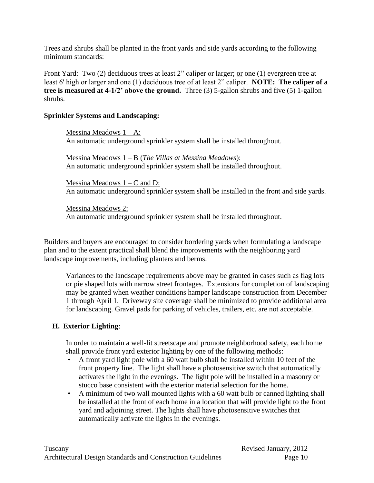Trees and shrubs shall be planted in the front yards and side yards according to the following minimum standards:

Front Yard: Two (2) deciduous trees at least 2" caliper or larger; or one (1) evergreen tree at least 6' high or larger and one (1) deciduous tree of at least 2" caliper. **NOTE: The caliper of a tree is measured at 4-1/2' above the ground.** Three (3) 5-gallon shrubs and five (5) 1-gallon shrubs.

#### **Sprinkler Systems and Landscaping:**

Messina Meadows  $1 - A$ : An automatic underground sprinkler system shall be installed throughout.

Messina Meadows 1 – B (*The Villas at Messina Meadows*): An automatic underground sprinkler system shall be installed throughout.

Messina Meadows  $1 - C$  and D: An automatic underground sprinkler system shall be installed in the front and side yards.

Messina Meadows 2: An automatic underground sprinkler system shall be installed throughout.

Builders and buyers are encouraged to consider bordering yards when formulating a landscape plan and to the extent practical shall blend the improvements with the neighboring yard landscape improvements, including planters and berms.

Variances to the landscape requirements above may be granted in cases such as flag lots or pie shaped lots with narrow street frontages. Extensions for completion of landscaping may be granted when weather conditions hamper landscape construction from December 1 through April 1. Driveway site coverage shall be minimized to provide additional area for landscaping. Gravel pads for parking of vehicles, trailers, etc. are not acceptable.

#### **H. Exterior Lighting**:

In order to maintain a well-lit streetscape and promote neighborhood safety, each home shall provide front yard exterior lighting by one of the following methods:

- A front yard light pole with a 60 watt bulb shall be installed within 10 feet of the front property line. The light shall have a photosensitive switch that automatically activates the light in the evenings. The light pole will be installed in a masonry or stucco base consistent with the exterior material selection for the home.
- A minimum of two wall mounted lights with a 60 watt bulb or canned lighting shall be installed at the front of each home in a location that will provide light to the front yard and adjoining street. The lights shall have photosensitive switches that automatically activate the lights in the evenings.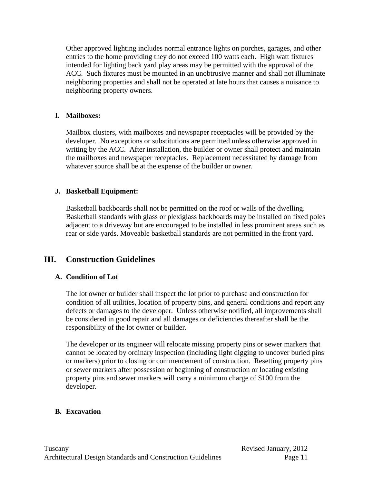Other approved lighting includes normal entrance lights on porches, garages, and other entries to the home providing they do not exceed 100 watts each. High watt fixtures intended for lighting back yard play areas may be permitted with the approval of the ACC. Such fixtures must be mounted in an unobtrusive manner and shall not illuminate neighboring properties and shall not be operated at late hours that causes a nuisance to neighboring property owners.

#### **I. Mailboxes:**

Mailbox clusters, with mailboxes and newspaper receptacles will be provided by the developer. No exceptions or substitutions are permitted unless otherwise approved in writing by the ACC. After installation, the builder or owner shall protect and maintain the mailboxes and newspaper receptacles. Replacement necessitated by damage from whatever source shall be at the expense of the builder or owner.

#### **J. Basketball Equipment:**

Basketball backboards shall not be permitted on the roof or walls of the dwelling. Basketball standards with glass or plexiglass backboards may be installed on fixed poles adjacent to a driveway but are encouraged to be installed in less prominent areas such as rear or side yards. Moveable basketball standards are not permitted in the front yard.

# **III. Construction Guidelines**

# **A. Condition of Lot**

The lot owner or builder shall inspect the lot prior to purchase and construction for condition of all utilities, location of property pins, and general conditions and report any defects or damages to the developer. Unless otherwise notified, all improvements shall be considered in good repair and all damages or deficiencies thereafter shall be the responsibility of the lot owner or builder.

The developer or its engineer will relocate missing property pins or sewer markers that cannot be located by ordinary inspection (including light digging to uncover buried pins or markers) prior to closing or commencement of construction. Resetting property pins or sewer markers after possession or beginning of construction or locating existing property pins and sewer markers will carry a minimum charge of \$100 from the developer.

#### **B. Excavation**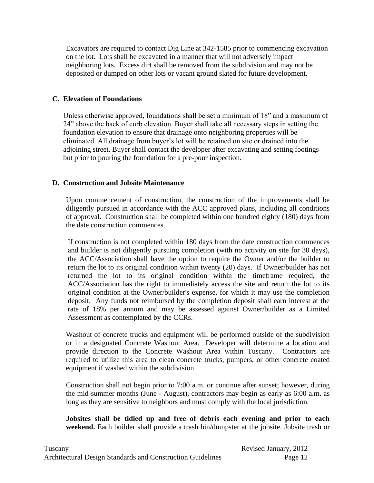Excavators are required to contact Dig Line at 342-1585 prior to commencing excavation on the lot. Lots shall be excavated in a manner that will not adversely impact neighboring lots. Excess dirt shall be removed from the subdivision and may not be deposited or dumped on other lots or vacant ground slated for future development.

#### **C. Elevation of Foundations**

Unless otherwise approved, foundations shall be set a minimum of 18" and a maximum of 24" above the back of curb elevation. Buyer shall take all necessary steps in setting the foundation elevation to ensure that drainage onto neighboring properties will be eliminated. All drainage from buyer's lot will be retained on site or drained into the adjoining street. Buyer shall contact the developer after excavating and setting footings but prior to pouring the foundation for a pre-pour inspection.

#### **D. Construction and Jobsite Maintenance**

Upon commencement of construction, the construction of the improvements shall be diligently pursued in accordance with the ACC approved plans, including all conditions of approval. Construction shall be completed within one hundred eighty (180) days from the date construction commences.

If construction is not completed within 180 days from the date construction commences and builder is not diligently pursuing completion (with no activity on site for 30 days), the ACC/Association shall have the option to require the Owner and/or the builder to return the lot to its original condition within twenty (20) days. If Owner/builder has not returned the lot to its original condition within the timeframe required, the ACC/Association has the right to immediately access the site and return the lot to its original condition at the Owner/builder's expense, for which it may use the completion deposit. Any funds not reimbursed by the completion deposit shall earn interest at the rate of 18% per annum and may be assessed against Owner/builder as a Limited Assessment as contemplated by the CCRs.

Washout of concrete trucks and equipment will be performed outside of the subdivision or in a designated Concrete Washout Area. Developer will determine a location and provide direction to the Concrete Washout Area within Tuscany. Contractors are required to utilize this area to clean concrete trucks, pumpers, or other concrete coated equipment if washed within the subdivision.

Construction shall not begin prior to 7:00 a.m. or continue after sunset; however, during the mid-summer months (June - August), contractors may begin as early as 6:00 a.m. as long as they are sensitive to neighbors and must comply with the local jurisdiction.

**Jobsites shall be tidied up and free of debris each evening and prior to each weekend.** Each builder shall provide a trash bin/dumpster at the jobsite. Jobsite trash or